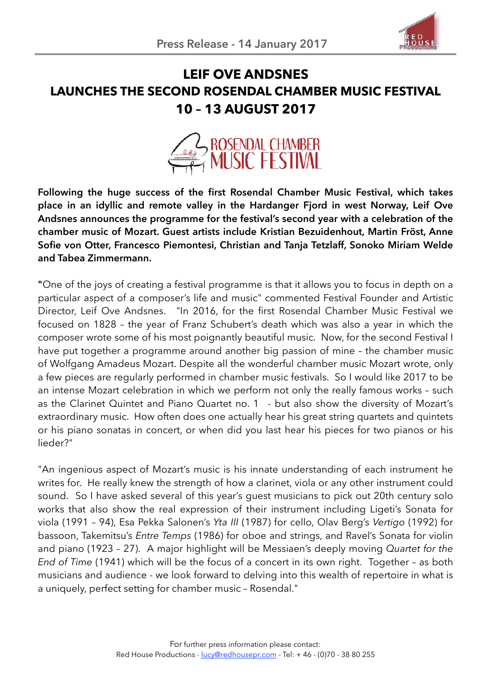

# **LEIF OVE ANDSNES LAUNCHES THE SECOND ROSENDAL CHAMBER MUSIC FESTIVAL 10 – 13 AUGUST 2017**



**Following the huge success of the first Rosendal Chamber Music Festival, which takes place in an idyllic and remote valley in the Hardanger Fjord in west Norway, Leif Ove Andsnes announces the programme for the festival's second year with a celebration of the chamber music of Mozart. Guest artists include Kristian Bezuidenhout, Martin Fröst, Anne Sofie von Otter, Francesco Piemontesi, Christian and Tanja Tetzlaff, Sonoko Miriam Welde and Tabea Zimmermann.**

**"**One of the joys of creating a festival programme is that it allows you to focus in depth on a particular aspect of a composer's life and music" commented Festival Founder and Artistic Director, Leif Ove Andsnes. "In 2016, for the first Rosendal Chamber Music Festival we focused on 1828 – the year of Franz Schubert's death which was also a year in which the composer wrote some of his most poignantly beautiful music. Now, for the second Festival I have put together a programme around another big passion of mine – the chamber music of Wolfgang Amadeus Mozart. Despite all the wonderful chamber music Mozart wrote, only a few pieces are regularly performed in chamber music festivals. So I would like 2017 to be an intense Mozart celebration in which we perform not only the really famous works – such as the Clarinet Quintet and Piano Quartet no. 1 - but also show the diversity of Mozart's extraordinary music. How often does one actually hear his great string quartets and quintets or his piano sonatas in concert, or when did you last hear his pieces for two pianos or his lieder?"

"An ingenious aspect of Mozart's music is his innate understanding of each instrument he writes for. He really knew the strength of how a clarinet, viola or any other instrument could sound. So I have asked several of this year's guest musicians to pick out 20th century solo works that also show the real expression of their instrument including Ligeti's Sonata for viola (1991 – 94), Esa Pekka Salonen's *Yta III* (1987) for cello, Olav Berg's *Vertigo* (1992) for bassoon, Takemitsu's *Entre Temps* (1986) for oboe and strings, and Ravel's Sonata for violin and piano (1923 – 27). A major highlight will be Messiaen's deeply moving *Quartet for the End of Time* (1941) which will be the focus of a concert in its own right. Together – as both musicians and audience - we look forward to delving into this wealth of repertoire in what is a uniquely, perfect setting for chamber music – Rosendal."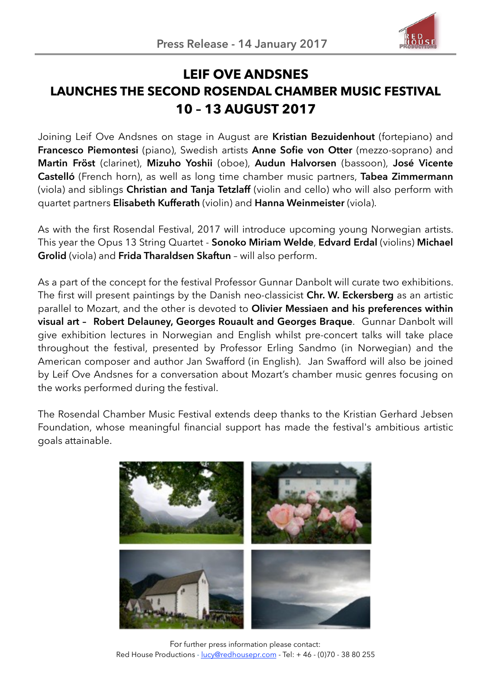

# **LEIF OVE ANDSNES LAUNCHES THE SECOND ROSENDAL CHAMBER MUSIC FESTIVAL 10 – 13 AUGUST 2017**

Joining Leif Ove Andsnes on stage in August are **Kristian Bezuidenhout** (fortepiano) and **Francesco Piemontesi** (piano), Swedish artists **Anne Sofie von Otter** (mezzo-soprano) and **Martin Fröst** (clarinet), **Mizuho Yoshii** (oboe), **Audun Halvorsen** (bassoon), **José Vicente Castelló** (French horn), as well as long time chamber music partners, **Tabea Zimmermann** (viola) and siblings **Christian and Tanja Tetzlaff** (violin and cello) who will also perform with quartet partners **Elisabeth Kufferath** (violin) and **Hanna Weinmeister** (viola).

As with the first Rosendal Festival, 2017 will introduce upcoming young Norwegian artists. This year the Opus 13 String Quartet - **Sonoko Miriam Welde**, **Edvard Erdal** (violins) **Michael Grolid** (viola) and **Frida Tharaldsen Skaftun** – will also perform.

As a part of the concept for the festival Professor Gunnar Danbolt will curate two exhibitions. The first will present paintings by the Danish neo-classicist **Chr. W. Eckersberg** as an artistic parallel to Mozart, and the other is devoted to **Olivier Messiaen and his preferences within visual art – Robert Delauney, Georges Rouault and Georges Braque**. Gunnar Danbolt will give exhibition lectures in Norwegian and English whilst pre-concert talks will take place throughout the festival, presented by Professor Erling Sandmo (in Norwegian) and the American composer and author Jan Swafford (in English). Jan Swafford will also be joined by Leif Ove Andsnes for a conversation about Mozart's chamber music genres focusing on the works performed during the festival.

The Rosendal Chamber Music Festival extends deep thanks to the Kristian Gerhard Jebsen Foundation, whose meaningful financial support has made the festival's ambitious artistic goals attainable.



For further press information please contact: Red House Productions - [lucy@redhousepr.com](mailto:lucy@redhousepr.com) - Tel: +46 - (0)70 - 38 80 255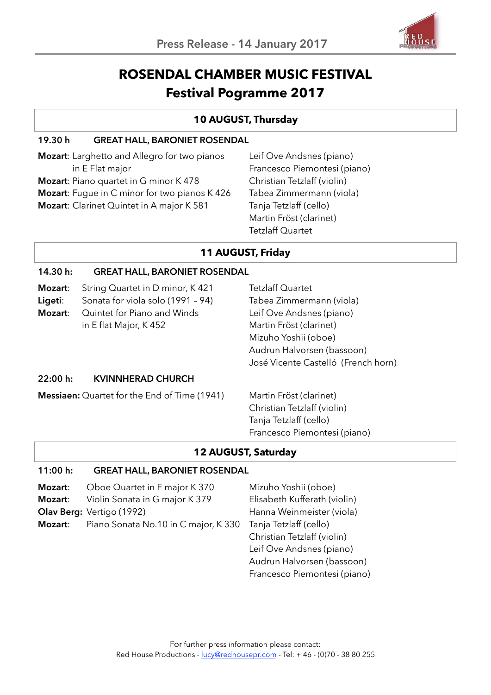

# **ROSENDAL CHAMBER MUSIC FESTIVAL Festival Pogramme 2017**

## **10 AUGUST, Thursday**

### **19.30 h GREAT HALL, BARONIET ROSENDAL**

**Mozart**: Larghetto and Allegro for two pianos in E Flat major **Mozart**: Piano quartet in G minor K 478 **Mozart**: Fugue in C minor for two pianos K 426 **Mozart**: Clarinet Quintet in A major K 581

Leif Ove Andsnes (piano) Francesco Piemontesi (piano) Christian Tetzlaff (violin) Tabea Zimmermann (viola) Tanja Tetzlaff (cello) Martin Fröst (clarinet) Tetzlaff Quartet

## **11 AUGUST, Friday**

### **14.30 h: GREAT HALL, BARONIET ROSENDAL**

| Mozart:<br>Ligeti:<br>Mozart: | String Quartet in D minor, K 421<br>Sonata for viola solo (1991 - 94)<br>Quintet for Piano and Winds<br>in E flat Major, K 452 | <b>Tetzlaff Quartet</b><br>Tabea Zimmermann (viola)<br>Leif Ove Andsnes (piano)<br>Martin Fröst (clarinet)<br>Mizuho Yoshii (oboe)<br>Audrun Halvorsen (bassoon)<br>José Vicente Castelló (French horn) |
|-------------------------------|--------------------------------------------------------------------------------------------------------------------------------|---------------------------------------------------------------------------------------------------------------------------------------------------------------------------------------------------------|
| 22:00 h:                      | <b>KVINNHERAD CHURCH</b>                                                                                                       |                                                                                                                                                                                                         |
|                               | <b>Messiaen:</b> Quartet for the End of Time (1941)                                                                            | Martin Fröst (clarinet)<br>Christian Tetzlaff (violin)<br>Tanja Tetzlaff (cello)<br>Francesco Piemontesi (piano)                                                                                        |

### **12 AUGUST, Saturday**

#### **11:00 h: GREAT HALL, BARONIET ROSENDAL**

| Mozart:        | Oboe Quartet in F major K 370        | Mizuho Yoshii (oboe)         |
|----------------|--------------------------------------|------------------------------|
| Mozart:        | Violin Sonata in G major K 379       | Elisabeth Kufferath (violin) |
|                | <b>Olav Berg: Vertigo (1992)</b>     | Hanna Weinmeister (viola)    |
| <b>Mozart:</b> | Piano Sonata No.10 in C major, K 330 | Tanja Tetzlaff (cello)       |
|                |                                      | Christian Tetzlaff (violin)  |
|                |                                      | Leif Ove Andsnes (piano)     |
|                |                                      | Audrun Halvorsen (bassoon)   |
|                |                                      | Francesco Piemontesi (piano) |